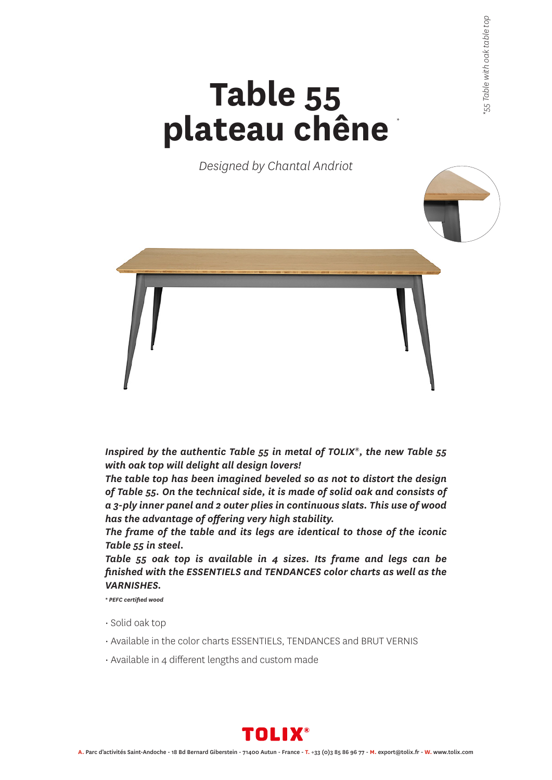## **Table 55 plateau chêne** *\**

*Designed by Chantal Andriot*



*Inspired by the authentic Table 55 in metal of TOLIX®, the new Table 55 with oak top will delight all design lovers!*

*The table top has been imagined beveled so as not to distort the design of Table 55. On the technical side, it is made of solid oak and consists of a 3-ply inner panel and 2 outer plies in continuous slats. This use of wood has the advantage of offering very high stability.*

*The frame of the table and its legs are identical to those of the iconic Table 55 in steel.*

*Table 55 oak top is available in 4 sizes. Its frame and legs can be finished with the ESSENTIELS and TENDANCES color charts as well as the VARNISHES.*

*\* PEFC certified wood*

- Solid oak top
- Available in the color charts ESSENTIELS, TENDANCES and BRUT VERNIS
- Available in 4 different lengths and custom made